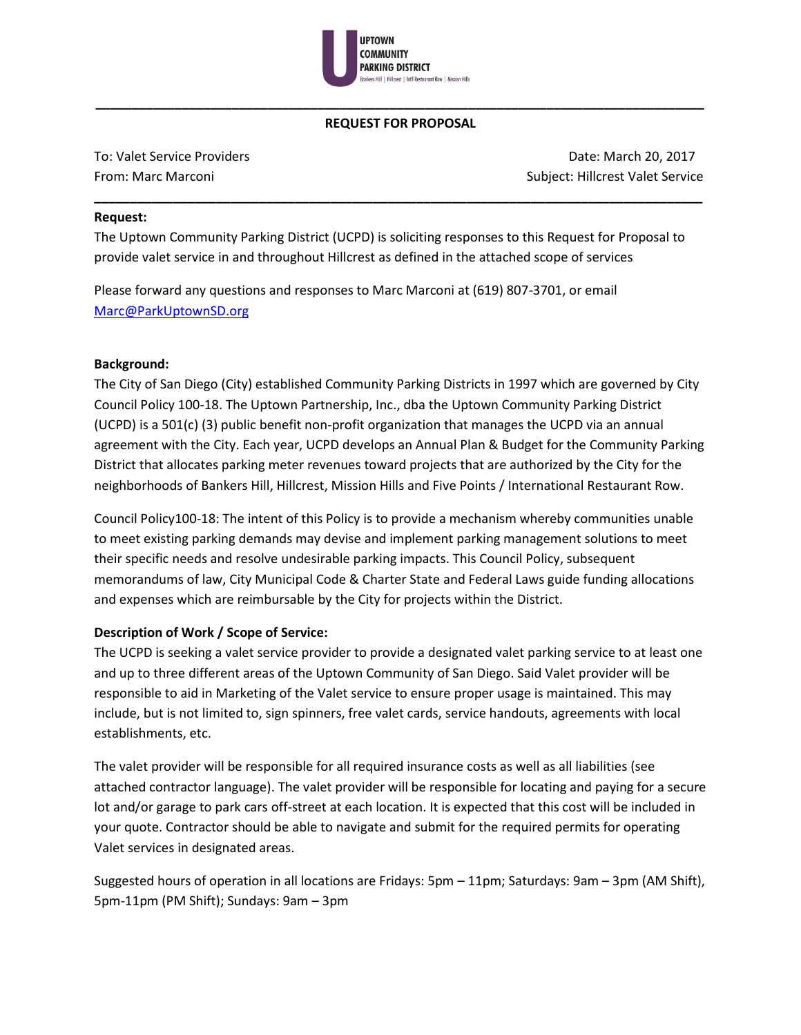

# **\_\_\_\_\_\_\_\_\_\_\_\_\_\_\_\_\_\_\_\_\_\_\_\_\_\_\_\_\_\_\_\_\_\_\_\_\_\_\_\_\_\_\_\_\_\_\_\_\_\_\_\_\_\_\_\_\_\_\_\_\_\_\_\_\_\_\_\_\_\_\_\_\_\_\_\_\_\_\_\_\_\_\_\_\_ REQUEST FOR PROPOSAL**

**\_\_\_\_\_\_\_\_\_\_\_\_\_\_\_\_\_\_\_\_\_\_\_\_\_\_\_\_\_\_\_\_\_\_\_\_\_\_\_\_\_\_\_\_\_\_\_\_\_\_\_\_\_\_\_\_\_\_\_\_\_\_\_\_\_\_\_\_\_\_\_\_\_\_\_\_\_\_\_\_\_\_\_\_\_**

To: Valet Service Providers **Date: March 20, 2017** Compared Archives 20, 2017 From: Marc Marconi Subject: Hillcrest Valet Service

#### **Request:**

The Uptown Community Parking District (UCPD) is soliciting responses to this Request for Proposal to provide valet service in and throughout Hillcrest as defined in the attached scope of services

Please forward any questions and responses to Marc Marconi at (619) 807-3701, or email [Marc@ParkUptownSD.org](mailto:Marc@ParkUptownSD.org)

### **Background:**

The City of San Diego (City) established Community Parking Districts in 1997 which are governed by City Council Policy 100-18. The Uptown Partnership, Inc., dba the Uptown Community Parking District (UCPD) is a 501(c) (3) public benefit non-profit organization that manages the UCPD via an annual agreement with the City. Each year, UCPD develops an Annual Plan & Budget for the Community Parking District that allocates parking meter revenues toward projects that are authorized by the City for the neighborhoods of Bankers Hill, Hillcrest, Mission Hills and Five Points / International Restaurant Row.

Council Policy100-18: The intent of this Policy is to provide a mechanism whereby communities unable to meet existing parking demands may devise and implement parking management solutions to meet their specific needs and resolve undesirable parking impacts. This Council Policy, subsequent memorandums of law, City Municipal Code & Charter State and Federal Laws guide funding allocations and expenses which are reimbursable by the City for projects within the District.

### **Description of Work / Scope of Service:**

The UCPD is seeking a valet service provider to provide a designated valet parking service to at least one and up to three different areas of the Uptown Community of San Diego. Said Valet provider will be responsible to aid in Marketing of the Valet service to ensure proper usage is maintained. This may include, but is not limited to, sign spinners, free valet cards, service handouts, agreements with local establishments, etc.

The valet provider will be responsible for all required insurance costs as well as all liabilities (see attached contractor language). The valet provider will be responsible for locating and paying for a secure lot and/or garage to park cars off-street at each location. It is expected that this cost will be included in your quote. Contractor should be able to navigate and submit for the required permits for operating Valet services in designated areas.

Suggested hours of operation in all locations are Fridays: 5pm – 11pm; Saturdays: 9am – 3pm (AM Shift), 5pm-11pm (PM Shift); Sundays: 9am – 3pm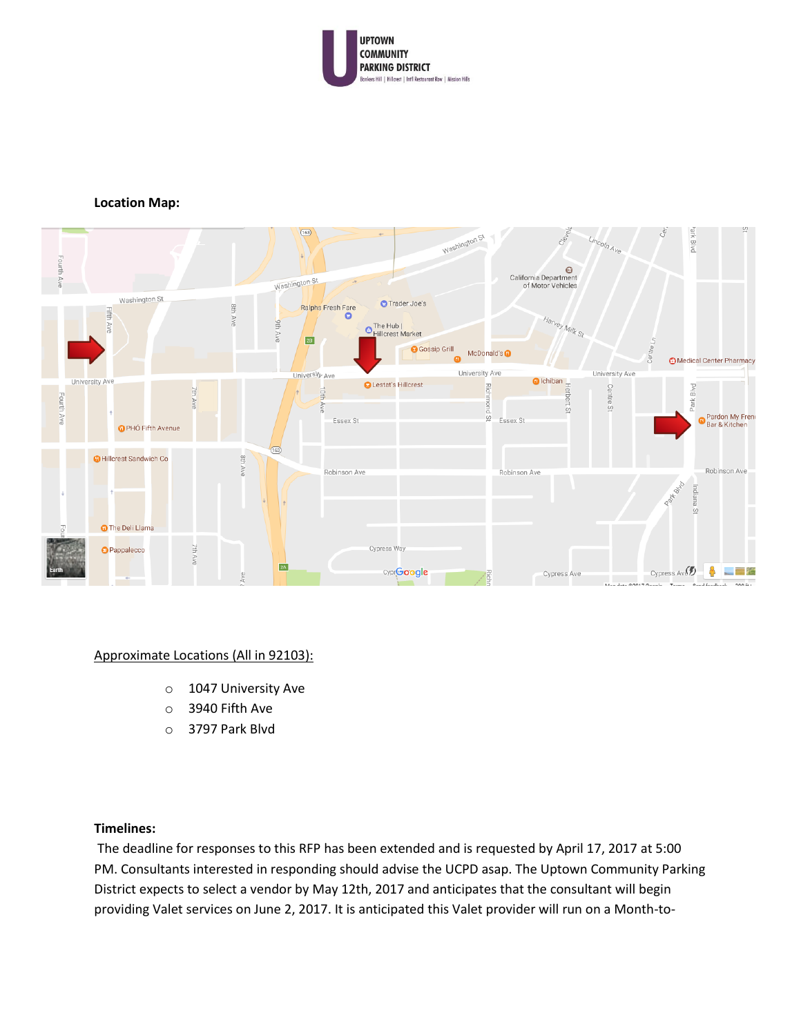

#### **Location Map:**



#### Approximate Locations (All in 92103):

- o 1047 University Ave
- o 3940 Fifth Ave
- o 3797 Park Blvd

### **Timelines:**

The deadline for responses to this RFP has been extended and is requested by April 17, 2017 at 5:00 PM. Consultants interested in responding should advise the UCPD asap. The Uptown Community Parking District expects to select a vendor by May 12th, 2017 and anticipates that the consultant will begin providing Valet services on June 2, 2017. It is anticipated this Valet provider will run on a Month-to-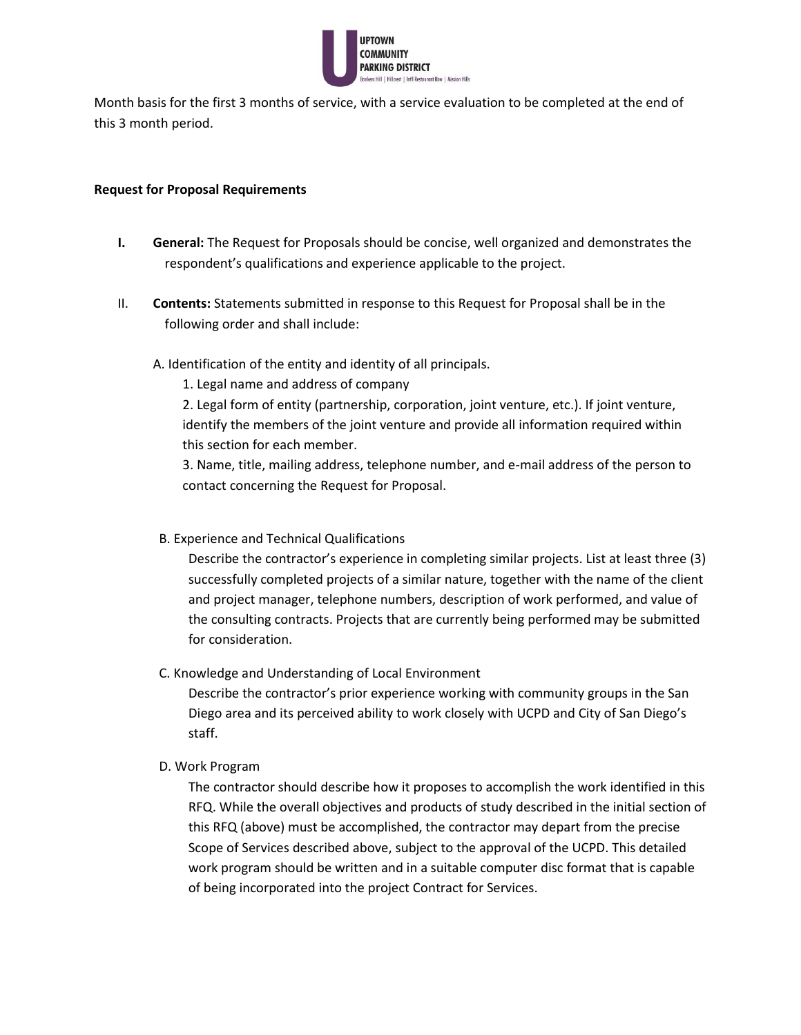

Month basis for the first 3 months of service, with a service evaluation to be completed at the end of this 3 month period.

#### **Request for Proposal Requirements**

- **I. General:** The Request for Proposals should be concise, well organized and demonstrates the respondent's qualifications and experience applicable to the project.
- II. **Contents:** Statements submitted in response to this Request for Proposal shall be in the following order and shall include:
	- A. Identification of the entity and identity of all principals.
		- 1. Legal name and address of company

2. Legal form of entity (partnership, corporation, joint venture, etc.). If joint venture, identify the members of the joint venture and provide all information required within this section for each member.

3. Name, title, mailing address, telephone number, and e-mail address of the person to contact concerning the Request for Proposal.

B. Experience and Technical Qualifications

Describe the contractor's experience in completing similar projects. List at least three (3) successfully completed projects of a similar nature, together with the name of the client and project manager, telephone numbers, description of work performed, and value of the consulting contracts. Projects that are currently being performed may be submitted for consideration.

C. Knowledge and Understanding of Local Environment

Describe the contractor's prior experience working with community groups in the San Diego area and its perceived ability to work closely with UCPD and City of San Diego's staff.

### D. Work Program

The contractor should describe how it proposes to accomplish the work identified in this RFQ. While the overall objectives and products of study described in the initial section of this RFQ (above) must be accomplished, the contractor may depart from the precise Scope of Services described above, subject to the approval of the UCPD. This detailed work program should be written and in a suitable computer disc format that is capable of being incorporated into the project Contract for Services.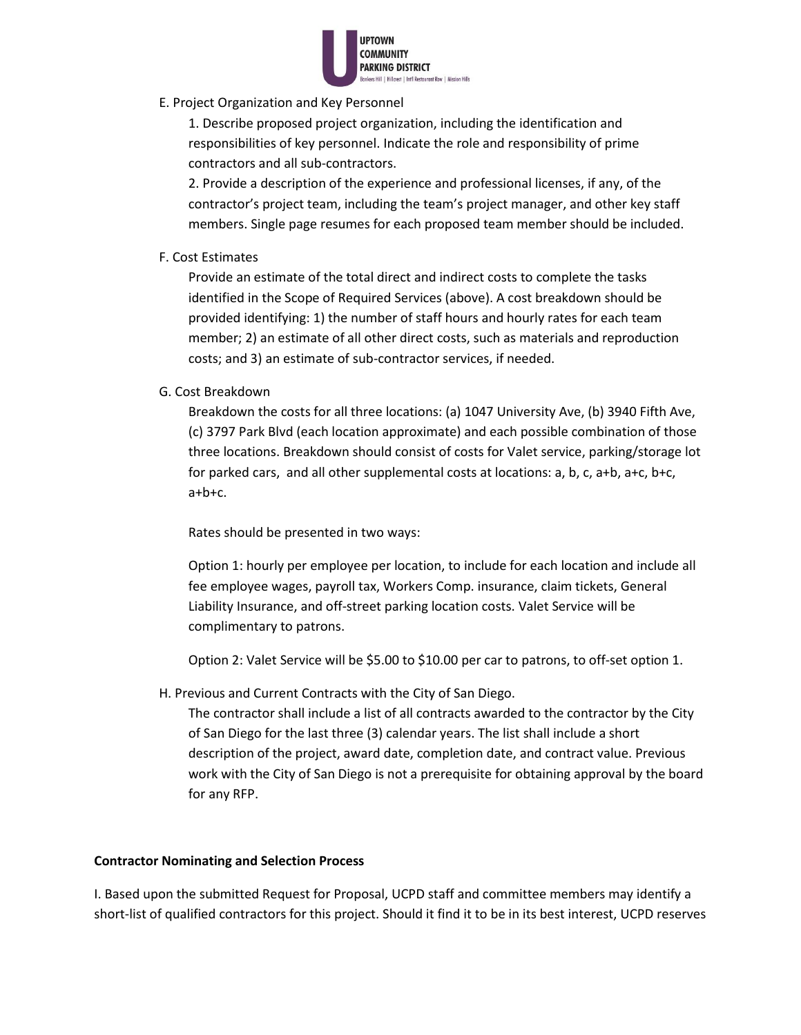

E. Project Organization and Key Personnel

1. Describe proposed project organization, including the identification and responsibilities of key personnel. Indicate the role and responsibility of prime contractors and all sub-contractors.

2. Provide a description of the experience and professional licenses, if any, of the contractor's project team, including the team's project manager, and other key staff members. Single page resumes for each proposed team member should be included.

# F. Cost Estimates

Provide an estimate of the total direct and indirect costs to complete the tasks identified in the Scope of Required Services (above). A cost breakdown should be provided identifying: 1) the number of staff hours and hourly rates for each team member; 2) an estimate of all other direct costs, such as materials and reproduction costs; and 3) an estimate of sub-contractor services, if needed.

### G. Cost Breakdown

Breakdown the costs for all three locations: (a) 1047 University Ave, (b) 3940 Fifth Ave, (c) 3797 Park Blvd (each location approximate) and each possible combination of those three locations. Breakdown should consist of costs for Valet service, parking/storage lot for parked cars, and all other supplemental costs at locations: a, b, c, a+b, a+c, b+c, a+b+c.

Rates should be presented in two ways:

Option 1: hourly per employee per location, to include for each location and include all fee employee wages, payroll tax, Workers Comp. insurance, claim tickets, General Liability Insurance, and off-street parking location costs. Valet Service will be complimentary to patrons.

Option 2: Valet Service will be \$5.00 to \$10.00 per car to patrons, to off-set option 1.

H. Previous and Current Contracts with the City of San Diego.

The contractor shall include a list of all contracts awarded to the contractor by the City of San Diego for the last three (3) calendar years. The list shall include a short description of the project, award date, completion date, and contract value. Previous work with the City of San Diego is not a prerequisite for obtaining approval by the board for any RFP.

### **Contractor Nominating and Selection Process**

I. Based upon the submitted Request for Proposal, UCPD staff and committee members may identify a short-list of qualified contractors for this project. Should it find it to be in its best interest, UCPD reserves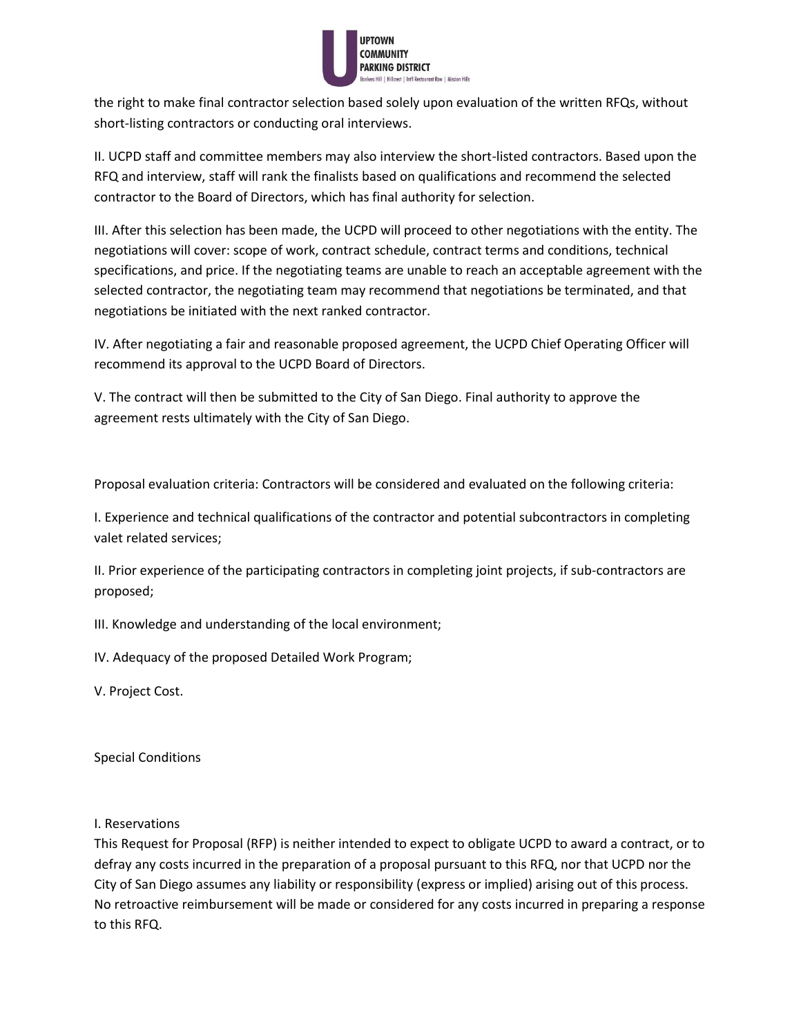

the right to make final contractor selection based solely upon evaluation of the written RFQs, without short-listing contractors or conducting oral interviews.

II. UCPD staff and committee members may also interview the short-listed contractors. Based upon the RFQ and interview, staff will rank the finalists based on qualifications and recommend the selected contractor to the Board of Directors, which has final authority for selection.

III. After this selection has been made, the UCPD will proceed to other negotiations with the entity. The negotiations will cover: scope of work, contract schedule, contract terms and conditions, technical specifications, and price. If the negotiating teams are unable to reach an acceptable agreement with the selected contractor, the negotiating team may recommend that negotiations be terminated, and that negotiations be initiated with the next ranked contractor.

IV. After negotiating a fair and reasonable proposed agreement, the UCPD Chief Operating Officer will recommend its approval to the UCPD Board of Directors.

V. The contract will then be submitted to the City of San Diego. Final authority to approve the agreement rests ultimately with the City of San Diego.

Proposal evaluation criteria: Contractors will be considered and evaluated on the following criteria:

I. Experience and technical qualifications of the contractor and potential subcontractors in completing valet related services;

II. Prior experience of the participating contractors in completing joint projects, if sub-contractors are proposed;

III. Knowledge and understanding of the local environment;

IV. Adequacy of the proposed Detailed Work Program;

V. Project Cost.

Special Conditions

I. Reservations

This Request for Proposal (RFP) is neither intended to expect to obligate UCPD to award a contract, or to defray any costs incurred in the preparation of a proposal pursuant to this RFQ, nor that UCPD nor the City of San Diego assumes any liability or responsibility (express or implied) arising out of this process. No retroactive reimbursement will be made or considered for any costs incurred in preparing a response to this RFQ.